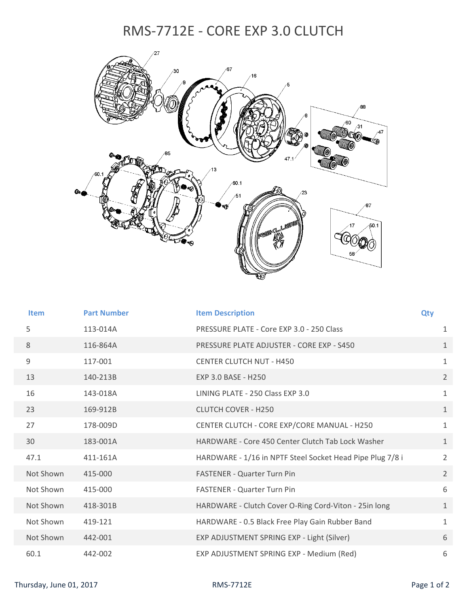## RMS‐7712E ‐ CORE EXP 3.0 CLUTCH



| <b>Item</b> | <b>Part Number</b> | <b>Item Description</b>                                   | Qty |                |
|-------------|--------------------|-----------------------------------------------------------|-----|----------------|
| 5           | 113-014A           | PRESSURE PLATE - Core EXP 3.0 - 250 Class                 |     | $\mathbf{1}$   |
| 8           | 116-864A           | PRESSURE PLATE ADJUSTER - CORE EXP - S450                 |     | $\mathbf{1}$   |
| 9           | 117-001            | <b>CENTER CLUTCH NUT - H450</b>                           |     | $\mathbf{1}$   |
| 13          | 140-213B           | EXP 3.0 BASE - H250                                       |     | $\overline{2}$ |
| 16          | 143-018A           | LINING PLATE - 250 Class EXP 3.0                          |     | $\mathbf{1}$   |
| 23          | 169-912B           | <b>CLUTCH COVER - H250</b>                                |     | $\mathbf{1}$   |
| 27          | 178-009D           | CENTER CLUTCH - CORE EXP/CORE MANUAL - H250               |     | $\mathbf{1}$   |
| 30          | 183-001A           | HARDWARE - Core 450 Center Clutch Tab Lock Washer         |     | $\mathbf{1}$   |
| 47.1        | 411-161A           | HARDWARE - 1/16 in NPTF Steel Socket Head Pipe Plug 7/8 i |     | $\overline{2}$ |
| Not Shown   | 415-000            | <b>FASTENER - Quarter Turn Pin</b>                        |     | $\overline{2}$ |
| Not Shown   | 415-000            | <b>FASTENER - Quarter Turn Pin</b>                        |     | 6              |
| Not Shown   | 418-301B           | HARDWARE - Clutch Cover O-Ring Cord-Viton - 25in long     |     | $\mathbf{1}$   |
| Not Shown   | 419-121            | HARDWARE - 0.5 Black Free Play Gain Rubber Band           |     | $\mathbf{1}$   |
| Not Shown   | 442-001            | EXP ADJUSTMENT SPRING EXP - Light (Silver)                |     | 6              |
| 60.1        | 442-002            | EXP ADJUSTMENT SPRING EXP - Medium (Red)                  |     | 6              |